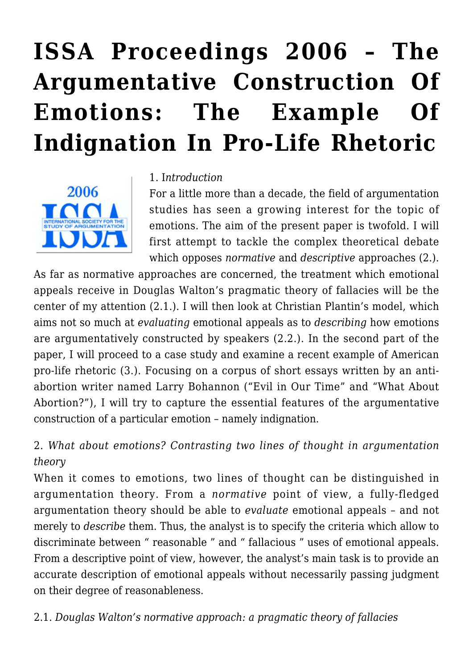# **[ISSA Proceedings 2006 – The](https://rozenbergquarterly.com/issa-proceedings-2006-the-argumentative-construction-of-emotions-the-example-of-indignation-in-pro-life-rhetoric/) [Argumentative Construction Of](https://rozenbergquarterly.com/issa-proceedings-2006-the-argumentative-construction-of-emotions-the-example-of-indignation-in-pro-life-rhetoric/) [Emotions: The Example Of](https://rozenbergquarterly.com/issa-proceedings-2006-the-argumentative-construction-of-emotions-the-example-of-indignation-in-pro-life-rhetoric/) [Indignation In Pro-Life Rhetoric](https://rozenbergquarterly.com/issa-proceedings-2006-the-argumentative-construction-of-emotions-the-example-of-indignation-in-pro-life-rhetoric/)**



#### 1. I*ntroduction*

For a little more than a decade, the field of argumentation studies has seen a growing interest for the topic of emotions. The aim of the present paper is twofold. I will first attempt to tackle the complex theoretical debate which opposes *normative* and *descriptive* approaches (2.).

As far as normative approaches are concerned, the treatment which emotional appeals receive in Douglas Walton's pragmatic theory of fallacies will be the center of my attention (2.1.). I will then look at Christian Plantin's model, which aims not so much at *evaluating* emotional appeals as to *describing* how emotions are argumentatively constructed by speakers (2.2.). In the second part of the paper, I will proceed to a case study and examine a recent example of American pro-life rhetoric (3.). Focusing on a corpus of short essays written by an antiabortion writer named Larry Bohannon ("Evil in Our Time" and "What About Abortion?"), I will try to capture the essential features of the argumentative construction of a particular emotion – namely indignation.

2. *What about emotions? Contrasting two lines of thought in argumentation theory*

When it comes to emotions, two lines of thought can be distinguished in argumentation theory. From a *normative* point of view, a fully-fledged argumentation theory should be able to *evaluate* emotional appeals – and not merely to *describe* them. Thus, the analyst is to specify the criteria which allow to discriminate between " reasonable " and " fallacious " uses of emotional appeals. From a descriptive point of view, however, the analyst's main task is to provide an accurate description of emotional appeals without necessarily passing judgment on their degree of reasonableness.

2.1. *Douglas Walton's normative approach: a pragmatic theory of fallacies*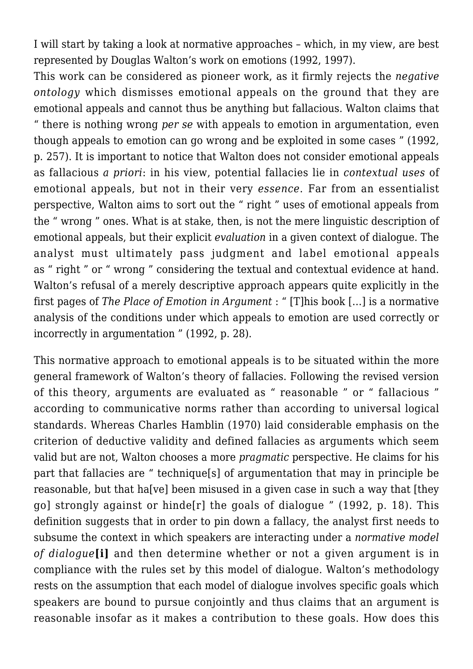I will start by taking a look at normative approaches – which, in my view, are best represented by Douglas Walton's work on emotions (1992, 1997).

This work can be considered as pioneer work, as it firmly rejects the *negative ontology* which dismisses emotional appeals on the ground that they are emotional appeals and cannot thus be anything but fallacious. Walton claims that " there is nothing wrong *per se* with appeals to emotion in argumentation, even though appeals to emotion can go wrong and be exploited in some cases " (1992, p. 257). It is important to notice that Walton does not consider emotional appeals as fallacious *a priori*: in his view, potential fallacies lie in *contextual uses* of emotional appeals, but not in their very *essence*. Far from an essentialist perspective, Walton aims to sort out the " right " uses of emotional appeals from the " wrong " ones. What is at stake, then, is not the mere linguistic description of emotional appeals, but their explicit *evaluation* in a given context of dialogue. The analyst must ultimately pass judgment and label emotional appeals as " right " or " wrong " considering the textual and contextual evidence at hand. Walton's refusal of a merely descriptive approach appears quite explicitly in the first pages of *The Place of Emotion in Argument* : " [T]his book […] is a normative analysis of the conditions under which appeals to emotion are used correctly or incorrectly in argumentation " (1992, p. 28).

This normative approach to emotional appeals is to be situated within the more general framework of Walton's theory of fallacies. Following the revised version of this theory, arguments are evaluated as " reasonable " or " fallacious " according to communicative norms rather than according to universal logical standards. Whereas Charles Hamblin (1970) laid considerable emphasis on the criterion of deductive validity and defined fallacies as arguments which seem valid but are not, Walton chooses a more *pragmatic* perspective. He claims for his part that fallacies are " technique[s] of argumentation that may in principle be reasonable, but that ha[ve] been misused in a given case in such a way that [they go] strongly against or hinde[r] the goals of dialogue " (1992, p. 18). This definition suggests that in order to pin down a fallacy, the analyst first needs to subsume the context in which speakers are interacting under a *normative model of dialogue***[i]** and then determine whether or not a given argument is in compliance with the rules set by this model of dialogue. Walton's methodology rests on the assumption that each model of dialogue involves specific goals which speakers are bound to pursue conjointly and thus claims that an argument is reasonable insofar as it makes a contribution to these goals. How does this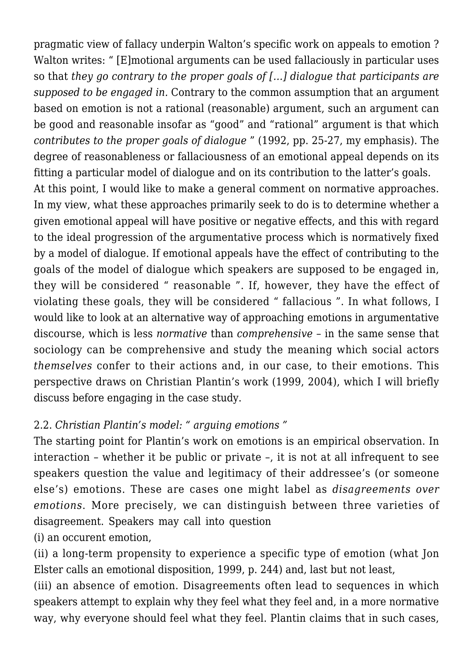pragmatic view of fallacy underpin Walton's specific work on appeals to emotion ? Walton writes: " [E]motional arguments can be used fallaciously in particular uses so that *they go contrary to the proper goals of […] dialogue that participants are supposed to be engaged in.* Contrary to the common assumption that an argument based on emotion is not a rational (reasonable) argument, such an argument can be good and reasonable insofar as "good" and "rational" argument is that which *contributes to the proper goals of dialogue* " (1992, pp. 25-27, my emphasis). The degree of reasonableness or fallaciousness of an emotional appeal depends on its fitting a particular model of dialogue and on its contribution to the latter's goals. At this point, I would like to make a general comment on normative approaches.

In my view, what these approaches primarily seek to do is to determine whether a given emotional appeal will have positive or negative effects, and this with regard to the ideal progression of the argumentative process which is normatively fixed by a model of dialogue. If emotional appeals have the effect of contributing to the goals of the model of dialogue which speakers are supposed to be engaged in, they will be considered " reasonable ". If, however, they have the effect of violating these goals, they will be considered " fallacious ". In what follows, I would like to look at an alternative way of approaching emotions in argumentative discourse, which is less *normative* than *comprehensive* – in the same sense that sociology can be comprehensive and study the meaning which social actors *themselves* confer to their actions and, in our case, to their emotions. This perspective draws on Christian Plantin's work (1999, 2004), which I will briefly discuss before engaging in the case study.

# 2.2. *Christian Plantin's model: " arguing emotions "*

The starting point for Plantin's work on emotions is an empirical observation. In interaction – whether it be public or private –, it is not at all infrequent to see speakers question the value and legitimacy of their addressee's (or someone else's) emotions. These are cases one might label as *disagreements over emotions*. More precisely, we can distinguish between three varieties of disagreement. Speakers may call into question

(i) an occurent emotion,

(ii) a long-term propensity to experience a specific type of emotion (what Jon Elster calls an emotional disposition, 1999, p. 244) and, last but not least,

(iii) an absence of emotion. Disagreements often lead to sequences in which speakers attempt to explain why they feel what they feel and, in a more normative way, why everyone should feel what they feel. Plantin claims that in such cases,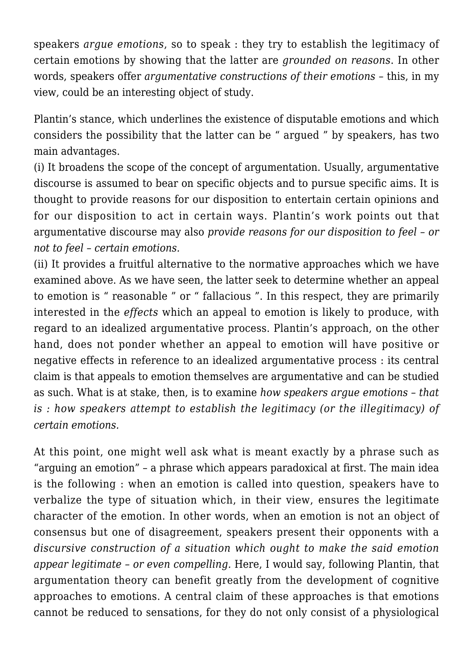speakers *argue emotions*, so to speak : they try to establish the legitimacy of certain emotions by showing that the latter are *grounded on reasons*. In other words, speakers offer *argumentative constructions of their emotions* – this, in my view, could be an interesting object of study.

Plantin's stance, which underlines the existence of disputable emotions and which considers the possibility that the latter can be " argued " by speakers, has two main advantages.

(i) It broadens the scope of the concept of argumentation. Usually, argumentative discourse is assumed to bear on specific objects and to pursue specific aims. It is thought to provide reasons for our disposition to entertain certain opinions and for our disposition to act in certain ways. Plantin's work points out that argumentative discourse may also *provide reasons for our disposition to feel – or not to feel – certain emotions.*

(ii) It provides a fruitful alternative to the normative approaches which we have examined above. As we have seen, the latter seek to determine whether an appeal to emotion is " reasonable " or " fallacious ". In this respect, they are primarily interested in the *effects* which an appeal to emotion is likely to produce, with regard to an idealized argumentative process. Plantin's approach, on the other hand, does not ponder whether an appeal to emotion will have positive or negative effects in reference to an idealized argumentative process : its central claim is that appeals to emotion themselves are argumentative and can be studied as such. What is at stake, then, is to examine *how speakers argue emotions – that is : how speakers attempt to establish the legitimacy (or the illegitimacy) of certain emotions.*

At this point, one might well ask what is meant exactly by a phrase such as "arguing an emotion" – a phrase which appears paradoxical at first. The main idea is the following : when an emotion is called into question, speakers have to verbalize the type of situation which, in their view, ensures the legitimate character of the emotion. In other words, when an emotion is not an object of consensus but one of disagreement, speakers present their opponents with a *discursive construction of a situation which ought to make the said emotion appear legitimate – or even compelling.* Here, I would say, following Plantin, that argumentation theory can benefit greatly from the development of cognitive approaches to emotions. A central claim of these approaches is that emotions cannot be reduced to sensations, for they do not only consist of a physiological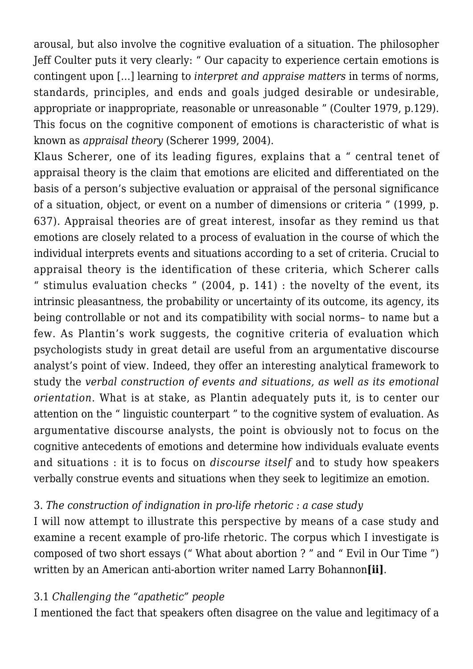arousal, but also involve the cognitive evaluation of a situation. The philosopher Jeff Coulter puts it very clearly: " Our capacity to experience certain emotions is contingent upon […] learning to *interpret and appraise matters* in terms of norms, standards, principles, and ends and goals judged desirable or undesirable, appropriate or inappropriate, reasonable or unreasonable " (Coulter 1979, p.129). This focus on the cognitive component of emotions is characteristic of what is known as *appraisal theory* (Scherer 1999, 2004).

Klaus Scherer, one of its leading figures, explains that a " central tenet of appraisal theory is the claim that emotions are elicited and differentiated on the basis of a person's subjective evaluation or appraisal of the personal significance of a situation, object, or event on a number of dimensions or criteria " (1999, p. 637). Appraisal theories are of great interest, insofar as they remind us that emotions are closely related to a process of evaluation in the course of which the individual interprets events and situations according to a set of criteria. Crucial to appraisal theory is the identification of these criteria, which Scherer calls " stimulus evaluation checks "  $(2004, p. 141)$  : the novelty of the event, its intrinsic pleasantness, the probability or uncertainty of its outcome, its agency, its being controllable or not and its compatibility with social norms– to name but a few. As Plantin's work suggests, the cognitive criteria of evaluation which psychologists study in great detail are useful from an argumentative discourse analyst's point of view. Indeed, they offer an interesting analytical framework to study the *verbal construction of events and situations, as well as its emotional orientation*. What is at stake, as Plantin adequately puts it, is to center our attention on the " linguistic counterpart " to the cognitive system of evaluation. As argumentative discourse analysts, the point is obviously not to focus on the cognitive antecedents of emotions and determine how individuals evaluate events and situations : it is to focus on *discourse itself* and to study how speakers verbally construe events and situations when they seek to legitimize an emotion.

# 3. *The construction of indignation in pro-life rhetoric : a case study*

I will now attempt to illustrate this perspective by means of a case study and examine a recent example of pro-life rhetoric. The corpus which I investigate is composed of two short essays (" What about abortion ? " and " Evil in Our Time ") written by an American anti-abortion writer named Larry Bohannon**[ii]**.

### 3.1 *Challenging the "apathetic" people*

I mentioned the fact that speakers often disagree on the value and legitimacy of a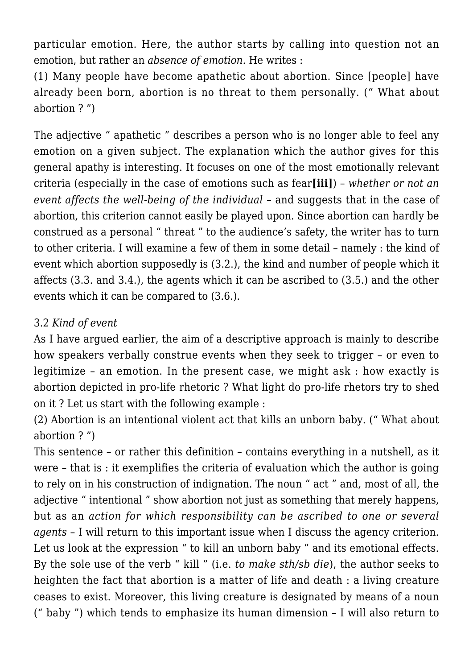particular emotion. Here, the author starts by calling into question not an emotion, but rather an *absence of emotion*. He writes :

(1) Many people have become apathetic about abortion. Since [people] have already been born, abortion is no threat to them personally. (" What about abortion ? ")

The adjective " apathetic " describes a person who is no longer able to feel any emotion on a given subject. The explanation which the author gives for this general apathy is interesting. It focuses on one of the most emotionally relevant criteria (especially in the case of emotions such as fear**[iii]**) – *whether or not an event affects the well-being of the individual* – and suggests that in the case of abortion, this criterion cannot easily be played upon. Since abortion can hardly be construed as a personal " threat " to the audience's safety, the writer has to turn to other criteria. I will examine a few of them in some detail – namely : the kind of event which abortion supposedly is (3.2.), the kind and number of people which it affects (3.3. and 3.4.), the agents which it can be ascribed to (3.5.) and the other events which it can be compared to (3.6.).

## 3.2 *Kind of event*

As I have argued earlier, the aim of a descriptive approach is mainly to describe how speakers verbally construe events when they seek to trigger – or even to legitimize – an emotion. In the present case, we might ask : how exactly is abortion depicted in pro-life rhetoric ? What light do pro-life rhetors try to shed on it ? Let us start with the following example :

(2) Abortion is an intentional violent act that kills an unborn baby. (" What about abortion ? ")

This sentence – or rather this definition – contains everything in a nutshell, as it were – that is : it exemplifies the criteria of evaluation which the author is going to rely on in his construction of indignation. The noun " act " and, most of all, the adjective " intentional " show abortion not just as something that merely happens, but as an *action for which responsibility can be ascribed to one or several agents* – I will return to this important issue when I discuss the agency criterion. Let us look at the expression " to kill an unborn baby " and its emotional effects. By the sole use of the verb " kill " (i.e. *to make sth/sb die*), the author seeks to heighten the fact that abortion is a matter of life and death : a living creature ceases to exist. Moreover, this living creature is designated by means of a noun (" baby ") which tends to emphasize its human dimension – I will also return to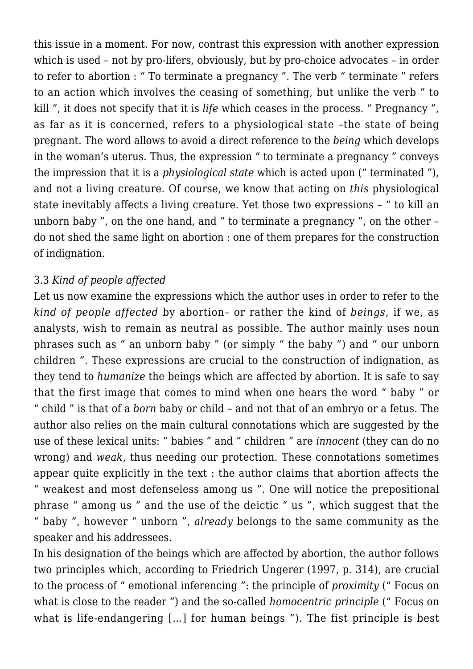this issue in a moment. For now, contrast this expression with another expression which is used – not by pro-lifers, obviously, but by pro-choice advocates – in order to refer to abortion : " To terminate a pregnancy ". The verb " terminate " refers to an action which involves the ceasing of something, but unlike the verb " to kill ", it does not specify that it is *life* which ceases in the process. " Pregnancy ", as far as it is concerned, refers to a physiological state –the state of being pregnant. The word allows to avoid a direct reference to the *being* which develops in the woman's uterus. Thus, the expression " to terminate a pregnancy " conveys the impression that it is a *physiological state* which is acted upon (" terminated "), and not a living creature. Of course, we know that acting on *this* physiological state inevitably affects a living creature. Yet those two expressions – " to kill an unborn baby ", on the one hand, and " to terminate a pregnancy ", on the other – do not shed the same light on abortion : one of them prepares for the construction of indignation.

### 3.3 *Kind of people affected*

Let us now examine the expressions which the author uses in order to refer to the *kind of people affected* by abortion– or rather the kind of *beings*, if we, as analysts, wish to remain as neutral as possible. The author mainly uses noun phrases such as " an unborn baby " (or simply " the baby ") and " our unborn children ". These expressions are crucial to the construction of indignation, as they tend to *humanize* the beings which are affected by abortion. It is safe to say that the first image that comes to mind when one hears the word " baby " or " child " is that of a *born* baby or child – and not that of an embryo or a fetus. The author also relies on the main cultural connotations which are suggested by the use of these lexical units: " babies " and " children " are *innocent* (they can do no wrong) and *weak*, thus needing our protection. These connotations sometimes appear quite explicitly in the text : the author claims that abortion affects the " weakest and most defenseless among us ". One will notice the prepositional phrase " among us " and the use of the deictic " us ", which suggest that the " baby ", however " unborn ", *already* belongs to the same community as the speaker and his addressees.

In his designation of the beings which are affected by abortion, the author follows two principles which, according to Friedrich Ungerer (1997, p. 314), are crucial to the process of " emotional inferencing ": the principle of *proximity* (" Focus on what is close to the reader ") and the so-called *homocentric principle* (" Focus on what is life-endangering […] for human beings "). The fist principle is best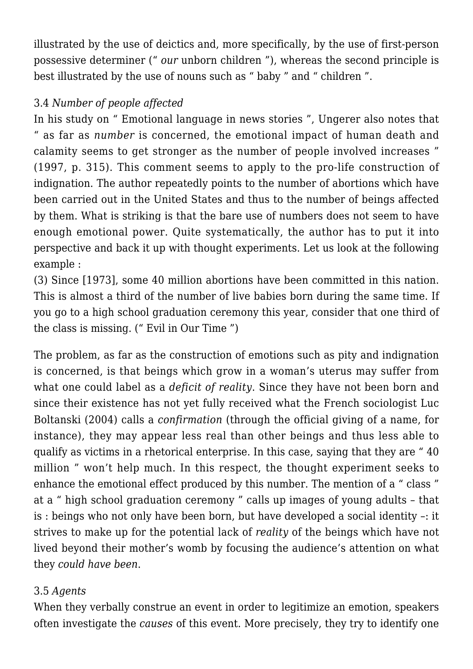illustrated by the use of deictics and, more specifically, by the use of first-person possessive determiner (" *our* unborn children "), whereas the second principle is best illustrated by the use of nouns such as " baby " and " children ".

# 3.4 *Number of people affected*

In his study on " Emotional language in news stories ", Ungerer also notes that " as far as *number* is concerned, the emotional impact of human death and calamity seems to get stronger as the number of people involved increases " (1997, p. 315). This comment seems to apply to the pro-life construction of indignation. The author repeatedly points to the number of abortions which have been carried out in the United States and thus to the number of beings affected by them. What is striking is that the bare use of numbers does not seem to have enough emotional power. Quite systematically, the author has to put it into perspective and back it up with thought experiments. Let us look at the following example :

(3) Since [1973], some 40 million abortions have been committed in this nation. This is almost a third of the number of live babies born during the same time. If you go to a high school graduation ceremony this year, consider that one third of the class is missing. (" Evil in Our Time ")

The problem, as far as the construction of emotions such as pity and indignation is concerned, is that beings which grow in a woman's uterus may suffer from what one could label as a *deficit of reality*. Since they have not been born and since their existence has not yet fully received what the French sociologist Luc Boltanski (2004) calls a *confirmation* (through the official giving of a name, for instance), they may appear less real than other beings and thus less able to qualify as victims in a rhetorical enterprise. In this case, saying that they are " 40 million " won't help much. In this respect, the thought experiment seeks to enhance the emotional effect produced by this number. The mention of a " class " at a " high school graduation ceremony " calls up images of young adults – that is : beings who not only have been born, but have developed a social identity –: it strives to make up for the potential lack of *reality* of the beings which have not lived beyond their mother's womb by focusing the audience's attention on what they *could have been*.

# 3.5 *Agents*

When they verbally construe an event in order to legitimize an emotion, speakers often investigate the *causes* of this event. More precisely, they try to identify one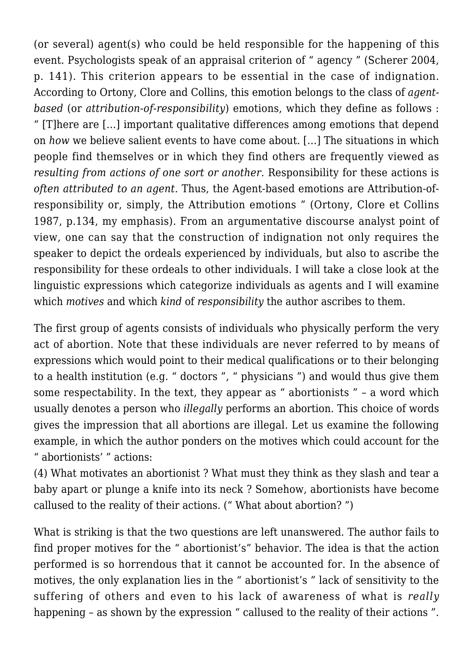(or several) agent(s) who could be held responsible for the happening of this event. Psychologists speak of an appraisal criterion of " agency " (Scherer 2004, p. 141). This criterion appears to be essential in the case of indignation. According to Ortony, Clore and Collins, this emotion belongs to the class of *agentbased* (or *attribution-of-responsibility*) emotions, which they define as follows : " [T]here are […] important qualitative differences among emotions that depend on *how* we believe salient events to have come about. […] The situations in which people find themselves or in which they find others are frequently viewed as *resulting from actions of one sort or another.* Responsibility for these actions is *often attributed to an agent.* Thus, the Agent-based emotions are Attribution-ofresponsibility or, simply, the Attribution emotions " (Ortony, Clore et Collins 1987, p.134, my emphasis). From an argumentative discourse analyst point of view, one can say that the construction of indignation not only requires the speaker to depict the ordeals experienced by individuals, but also to ascribe the responsibility for these ordeals to other individuals. I will take a close look at the linguistic expressions which categorize individuals as agents and I will examine which *motives* and which *kind* of *responsibility* the author ascribes to them.

The first group of agents consists of individuals who physically perform the very act of abortion. Note that these individuals are never referred to by means of expressions which would point to their medical qualifications or to their belonging to a health institution (e.g. " doctors ", " physicians ") and would thus give them some respectability. In the text, they appear as " abortionists " – a word which usually denotes a person who *illegally* performs an abortion. This choice of words gives the impression that all abortions are illegal. Let us examine the following example, in which the author ponders on the motives which could account for the " abortionists' " actions:

(4) What motivates an abortionist ? What must they think as they slash and tear a baby apart or plunge a knife into its neck ? Somehow, abortionists have become callused to the reality of their actions. (" What about abortion? ")

What is striking is that the two questions are left unanswered. The author fails to find proper motives for the " abortionist's" behavior. The idea is that the action performed is so horrendous that it cannot be accounted for. In the absence of motives, the only explanation lies in the " abortionist's " lack of sensitivity to the suffering of others and even to his lack of awareness of what is *really* happening – as shown by the expression " callused to the reality of their actions ".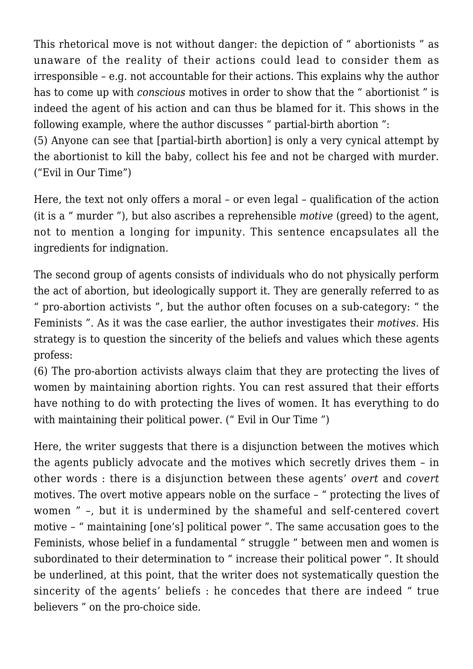This rhetorical move is not without danger: the depiction of " abortionists " as unaware of the reality of their actions could lead to consider them as irresponsible – e.g. not accountable for their actions. This explains why the author has to come up with *conscious* motives in order to show that the " abortionist " is indeed the agent of his action and can thus be blamed for it. This shows in the following example, where the author discusses " partial-birth abortion ":

(5) Anyone can see that [partial-birth abortion] is only a very cynical attempt by the abortionist to kill the baby, collect his fee and not be charged with murder. ("Evil in Our Time")

Here, the text not only offers a moral – or even legal – qualification of the action (it is a " murder "), but also ascribes a reprehensible *motive* (greed) to the agent, not to mention a longing for impunity. This sentence encapsulates all the ingredients for indignation.

The second group of agents consists of individuals who do not physically perform the act of abortion, but ideologically support it. They are generally referred to as " pro-abortion activists ", but the author often focuses on a sub-category: " the Feminists ". As it was the case earlier, the author investigates their *motives.* His strategy is to question the sincerity of the beliefs and values which these agents profess:

(6) The pro-abortion activists always claim that they are protecting the lives of women by maintaining abortion rights. You can rest assured that their efforts have nothing to do with protecting the lives of women. It has everything to do with maintaining their political power. (" Evil in Our Time ")

Here, the writer suggests that there is a disjunction between the motives which the agents publicly advocate and the motives which secretly drives them – in other words : there is a disjunction between these agents' *overt* and *covert* motives. The overt motive appears noble on the surface – " protecting the lives of women " –, but it is undermined by the shameful and self-centered covert motive – " maintaining [one's] political power ". The same accusation goes to the Feminists, whose belief in a fundamental " struggle " between men and women is subordinated to their determination to " increase their political power ". It should be underlined, at this point, that the writer does not systematically question the sincerity of the agents' beliefs : he concedes that there are indeed " true believers " on the pro-choice side.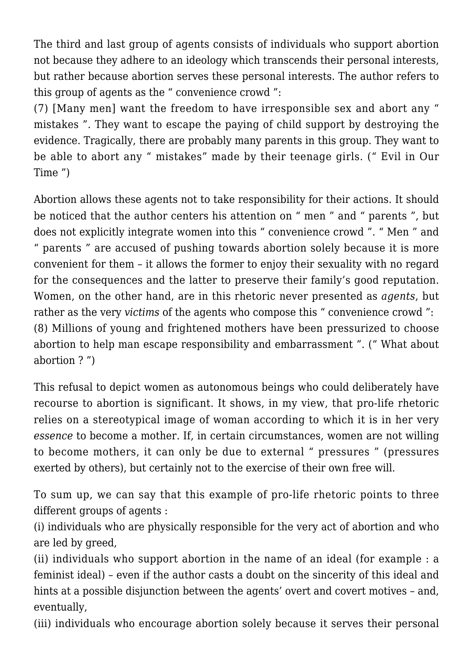The third and last group of agents consists of individuals who support abortion not because they adhere to an ideology which transcends their personal interests, but rather because abortion serves these personal interests. The author refers to this group of agents as the " convenience crowd ":

(7) [Many men] want the freedom to have irresponsible sex and abort any " mistakes ". They want to escape the paying of child support by destroying the evidence. Tragically, there are probably many parents in this group. They want to be able to abort any " mistakes" made by their teenage girls. (" Evil in Our Time ")

Abortion allows these agents not to take responsibility for their actions. It should be noticed that the author centers his attention on " men " and " parents ", but does not explicitly integrate women into this " convenience crowd ". " Men " and " parents " are accused of pushing towards abortion solely because it is more convenient for them – it allows the former to enjoy their sexuality with no regard for the consequences and the latter to preserve their family's good reputation. Women, on the other hand, are in this rhetoric never presented as *agents*, but rather as the very *victims* of the agents who compose this " convenience crowd ": (8) Millions of young and frightened mothers have been pressurized to choose abortion to help man escape responsibility and embarrassment ". (" What about abortion ? ")

This refusal to depict women as autonomous beings who could deliberately have recourse to abortion is significant. It shows, in my view, that pro-life rhetoric relies on a stereotypical image of woman according to which it is in her very *essence* to become a mother. If, in certain circumstances, women are not willing to become mothers, it can only be due to external " pressures " (pressures exerted by others), but certainly not to the exercise of their own free will.

To sum up, we can say that this example of pro-life rhetoric points to three different groups of agents :

(i) individuals who are physically responsible for the very act of abortion and who are led by greed,

(ii) individuals who support abortion in the name of an ideal (for example : a feminist ideal) – even if the author casts a doubt on the sincerity of this ideal and hints at a possible disjunction between the agents' overt and covert motives – and, eventually,

(iii) individuals who encourage abortion solely because it serves their personal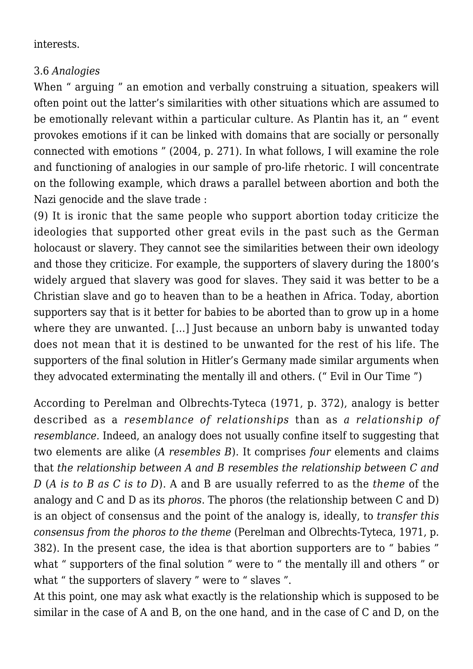#### interests.

### 3.6 *Analogies*

When " arguing " an emotion and verbally construing a situation, speakers will often point out the latter's similarities with other situations which are assumed to be emotionally relevant within a particular culture. As Plantin has it, an " event provokes emotions if it can be linked with domains that are socially or personally connected with emotions " (2004, p. 271). In what follows, I will examine the role and functioning of analogies in our sample of pro-life rhetoric. I will concentrate on the following example, which draws a parallel between abortion and both the Nazi genocide and the slave trade :

(9) It is ironic that the same people who support abortion today criticize the ideologies that supported other great evils in the past such as the German holocaust or slavery. They cannot see the similarities between their own ideology and those they criticize. For example, the supporters of slavery during the 1800's widely argued that slavery was good for slaves. They said it was better to be a Christian slave and go to heaven than to be a heathen in Africa. Today, abortion supporters say that is it better for babies to be aborted than to grow up in a home where they are unwanted. [...] Just because an unborn baby is unwanted today does not mean that it is destined to be unwanted for the rest of his life. The supporters of the final solution in Hitler's Germany made similar arguments when they advocated exterminating the mentally ill and others. (" Evil in Our Time ")

According to Perelman and Olbrechts-Tyteca (1971, p. 372), analogy is better described as a *resemblance of relationships* than as *a relationship of resemblance.* Indeed, an analogy does not usually confine itself to suggesting that two elements are alike (*A resembles B*). It comprises *four* elements and claims that *the relationship between A and B resembles the relationship between C and D* (*A is to B as C is to D*). A and B are usually referred to as the *theme* of the analogy and C and D as its *phoros*. The phoros (the relationship between C and D) is an object of consensus and the point of the analogy is, ideally, to *transfer this consensus from the phoros to the theme* (Perelman and Olbrechts-Tyteca, 1971, p. 382). In the present case, the idea is that abortion supporters are to " babies " what " supporters of the final solution " were to " the mentally ill and others " or what " the supporters of slavery " were to " slaves ".

At this point, one may ask what exactly is the relationship which is supposed to be similar in the case of A and B, on the one hand, and in the case of C and D, on the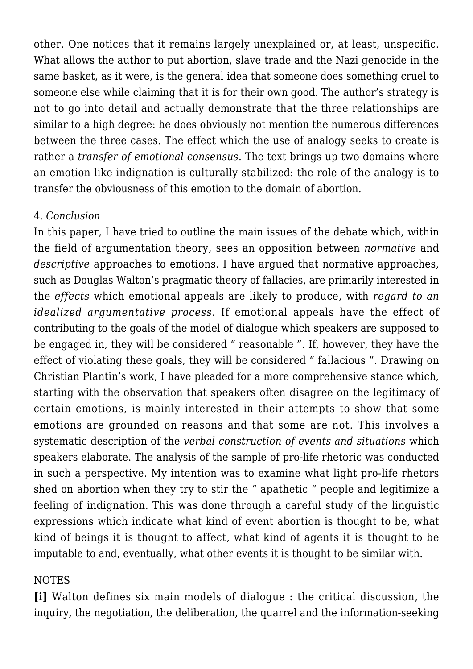other. One notices that it remains largely unexplained or, at least, unspecific. What allows the author to put abortion, slave trade and the Nazi genocide in the same basket, as it were, is the general idea that someone does something cruel to someone else while claiming that it is for their own good. The author's strategy is not to go into detail and actually demonstrate that the three relationships are similar to a high degree: he does obviously not mention the numerous differences between the three cases. The effect which the use of analogy seeks to create is rather a *transfer of emotional consensus*. The text brings up two domains where an emotion like indignation is culturally stabilized: the role of the analogy is to transfer the obviousness of this emotion to the domain of abortion.

### 4. *Conclusion*

In this paper, I have tried to outline the main issues of the debate which, within the field of argumentation theory, sees an opposition between *normative* and *descriptive* approaches to emotions. I have argued that normative approaches, such as Douglas Walton's pragmatic theory of fallacies, are primarily interested in the *effects* which emotional appeals are likely to produce, with *regard to an idealized argumentative process*. If emotional appeals have the effect of contributing to the goals of the model of dialogue which speakers are supposed to be engaged in, they will be considered " reasonable ". If, however, they have the effect of violating these goals, they will be considered " fallacious ". Drawing on Christian Plantin's work, I have pleaded for a more comprehensive stance which, starting with the observation that speakers often disagree on the legitimacy of certain emotions, is mainly interested in their attempts to show that some emotions are grounded on reasons and that some are not. This involves a systematic description of the *verbal construction of events and situations* which speakers elaborate. The analysis of the sample of pro-life rhetoric was conducted in such a perspective. My intention was to examine what light pro-life rhetors shed on abortion when they try to stir the " apathetic " people and legitimize a feeling of indignation. This was done through a careful study of the linguistic expressions which indicate what kind of event abortion is thought to be, what kind of beings it is thought to affect, what kind of agents it is thought to be imputable to and, eventually, what other events it is thought to be similar with.

# NOTES

**[i]** Walton defines six main models of dialogue : the critical discussion, the inquiry, the negotiation, the deliberation, the quarrel and the information-seeking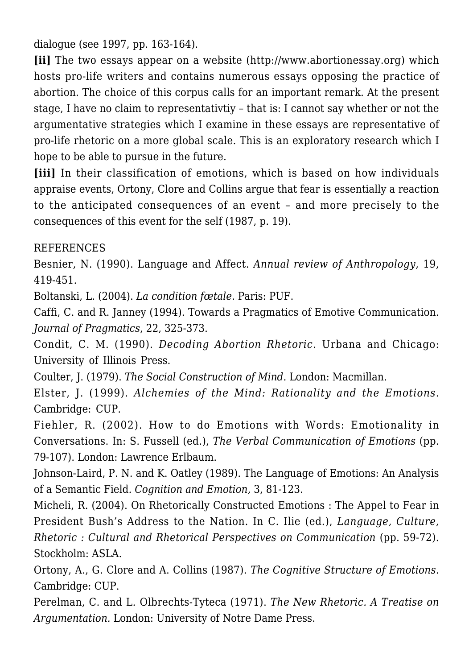dialogue (see 1997, pp. 163-164).

**[ii]** The two essays appear on a website (http://www.abortionessay.org) which hosts pro-life writers and contains numerous essays opposing the practice of abortion. The choice of this corpus calls for an important remark. At the present stage, I have no claim to representativtiy – that is: I cannot say whether or not the argumentative strategies which I examine in these essays are representative of pro-life rhetoric on a more global scale. This is an exploratory research which I hope to be able to pursue in the future.

**[iii]** In their classification of emotions, which is based on how individuals appraise events, Ortony, Clore and Collins argue that fear is essentially a reaction to the anticipated consequences of an event – and more precisely to the consequences of this event for the self (1987, p. 19).

REFERENCES

Besnier, N. (1990). Language and Affect. *Annual review of Anthropology*, 19, 419-451.

Boltanski, L. (2004). *La condition fœtale*. Paris: PUF.

Caffi, C. and R. Janney (1994). Towards a Pragmatics of Emotive Communication. *Journal of Pragmatics*, 22, 325-373.

Condit, C. M. (1990). *Decoding Abortion Rhetoric.* Urbana and Chicago: University of Illinois Press.

Coulter, J. (1979). *The Social Construction of Mind*. London: Macmillan.

Elster, J. (1999). *Alchemies of the Mind: Rationality and the Emotions*. Cambridge: CUP.

Fiehler, R. (2002). How to do Emotions with Words: Emotionality in Conversations. In: S. Fussell (ed.), *The Verbal Communication of Emotions* (pp. 79-107). London: Lawrence Erlbaum.

Johnson-Laird, P. N. and K. Oatley (1989). The Language of Emotions: An Analysis of a Semantic Field. *Cognition and Emotion,* 3, 81-123.

Micheli, R. (2004). On Rhetorically Constructed Emotions : The Appel to Fear in President Bush's Address to the Nation. In C. Ilie (ed.), *Language, Culture, Rhetoric : Cultural and Rhetorical Perspectives on Communication* (pp. 59-72). Stockholm: ASLA.

Ortony, A., G. Clore and A. Collins (1987). *The Cognitive Structure of Emotions*. Cambridge: CUP.

Perelman, C. and L. Olbrechts-Tyteca (1971). *The New Rhetoric. A Treatise on Argumentation.* London: University of Notre Dame Press.